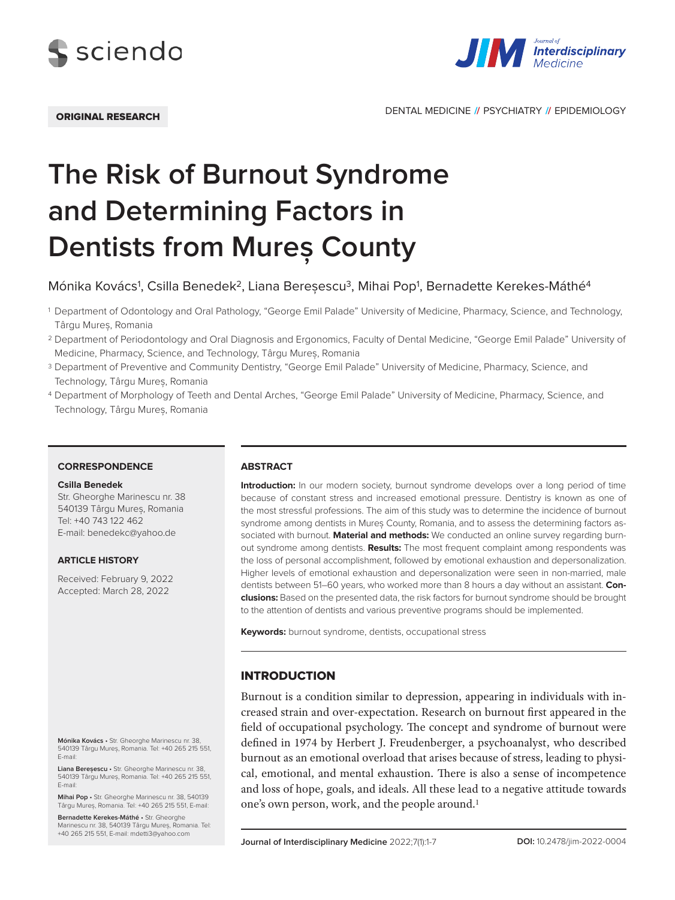



# **The Risk of Burnout Syndrome and Determining Factors in Dentists from Mureș County**

# Mónika Kovács<sup>1</sup>, Csilla Benedek<sup>2</sup>, Liana Bereșescu<sup>3</sup>, Mihai Pop<sup>1</sup>, Bernadette Kerekes-Máthé<sup>4</sup>

- <sup>1</sup> Department of Odontology and Oral Pathology, "George Emil Palade" University of Medicine, Pharmacy, Science, and Technology, Târgu Mureș, Romania
- <sup>2</sup> Department of Periodontology and Oral Diagnosis and Ergonomics, Faculty of Dental Medicine, "George Emil Palade" University of Medicine, Pharmacy, Science, and Technology, Târgu Mureș, Romania
- <sup>3</sup> Department of Preventive and Community Dentistry, "George Emil Palade" University of Medicine, Pharmacy, Science, and Technology, Târgu Mureș, Romania
- <sup>4</sup> Department of Morphology of Teeth and Dental Arches, "George Emil Palade" University of Medicine, Pharmacy, Science, and Technology, Târgu Mureș, Romania

#### **CORRESPONDENCE**

#### **Csilla Benedek**

Str. Gheorghe Marinescu nr. 38 540139 Târgu Mureș, Romania Tel: +40 743 122 462 E-mail: benedekc@yahoo.de

#### **ARTICLE HISTORY**

Received: February 9, 2022 Accepted: March 28, 2022

### **ABSTRACT**

**Introduction:** In our modern society, burnout syndrome develops over a long period of time because of constant stress and increased emotional pressure. Dentistry is known as one of the most stressful professions. The aim of this study was to determine the incidence of burnout syndrome among dentists in Mureș County, Romania, and to assess the determining factors associated with burnout. **Material and methods:** We conducted an online survey regarding burnout syndrome among dentists. **Results:** The most frequent complaint among respondents was the loss of personal accomplishment, followed by emotional exhaustion and depersonalization. Higher levels of emotional exhaustion and depersonalization were seen in non-married, male dentists between 51–60 years, who worked more than 8 hours a day without an assistant. **Conclusions:** Based on the presented data, the risk factors for burnout syndrome should be brought to the attention of dentists and various preventive programs should be implemented.

**Keywords:** burnout syndrome, dentists, occupational stress

# **INTRODUCTION**

Burnout is a condition similar to depression, appearing in individuals with increased strain and over-expectation. Research on burnout first appeared in the field of occupational psychology. The concept and syndrome of burnout were defined in 1974 by Herbert J. Freudenberger, a psychoanalyst, who described burnout as an emotional overload that arises because of stress, leading to physical, emotional, and mental exhaustion. There is also a sense of incompetence and loss of hope, goals, and ideals. All these lead to a negative attitude towards one's own person, work, and the people around.1

**Mónika Kovács** • Str. Gheorghe Marinescu nr. 38, 540139 Târgu Mureș, Romania. Tel: +40 265 215 551, E-mail:

**Liana Bereșescu** • Str. Gheorghe Marinescu nr. 38, 540139 Târgu Mureș, Romania. Tel: +40 265 215 551, E-mail:

**Mihai Pop** • Str. Gheorghe Marinescu nr. 38, 540139 Târgu Mureș, Romania. Tel: +40 265 215 551, E-mail:

**Bernadette Kerekes-Máthé** • Str. Gheorghe Marinescu nr. 38, 540139 Târgu Mureș, Romania. Tel: +40 265 215 551, E-mail: mdetti3@yahoo.com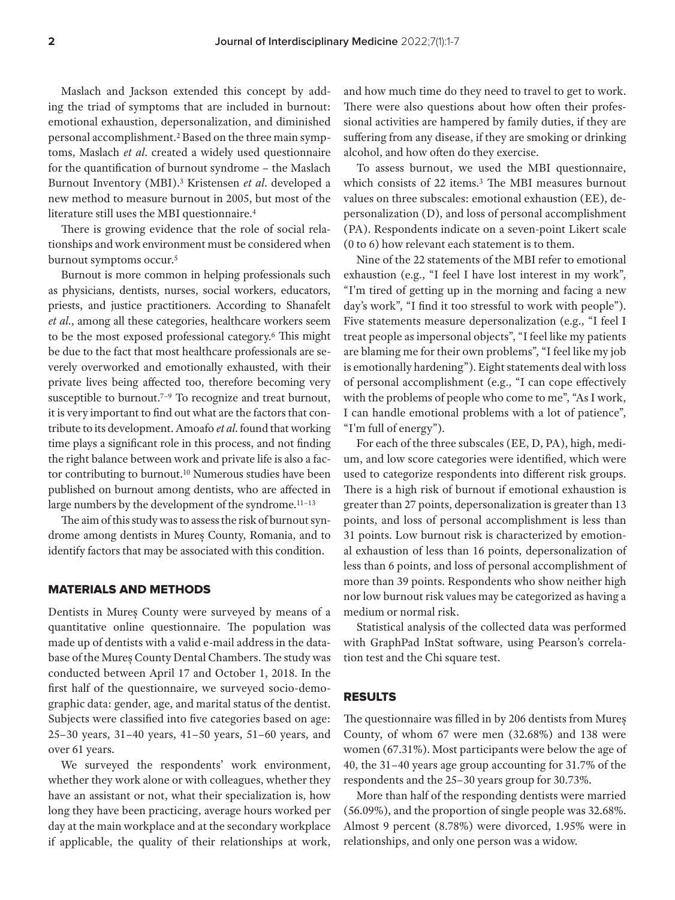Maslach and Jackson extended this concept by adding the triad of symptoms that are included in burnout: emotional exhaustion, depersonalization, and diminished personal accomplishment.2 Based on the three main symptoms, Maslach *et al*. created a widely used questionnaire for the quantification of burnout syndrome – the Maslach Burnout Inventory (MBI).3 Kristensen *et al*. developed a new method to measure burnout in 2005, but most of the literature still uses the MBI questionnaire.4

There is growing evidence that the role of social relationships and work environment must be considered when burnout symptoms occur.<sup>5</sup>

Burnout is more common in helping professionals such as physicians, dentists, nurses, social workers, educators, priests, and justice practitioners. According to Shanafelt *et al*., among all these categories, healthcare workers seem to be the most exposed professional category.6 This might be due to the fact that most healthcare professionals are severely overworked and emotionally exhausted, with their private lives being affected too, therefore becoming very susceptible to burnout.<sup>7-9</sup> To recognize and treat burnout, it is very important to find out what are the factors that contribute to its development. Amoafo *et al*. found that working time plays a significant role in this process, and not finding the right balance between work and private life is also a factor contributing to burnout.10 Numerous studies have been published on burnout among dentists, who are affected in large numbers by the development of the syndrome.11–13

The aim of this study was to assess the risk of burnout syndrome among dentists in Mureș County, Romania, and to identify factors that may be associated with this condition.

# MATERIALS AND METHODS

Dentists in Mureș County were surveyed by means of a quantitative online questionnaire. The population was made up of dentists with a valid e-mail address in the database of the Mureș County Dental Chambers. The study was conducted between April 17 and October 1, 2018. In the first half of the questionnaire, we surveyed socio-demographic data: gender, age, and marital status of the dentist. Subjects were classified into five categories based on age: 25–30 years, 31–40 years, 41–50 years, 51–60 years, and over 61 years.

We surveyed the respondents' work environment, whether they work alone or with colleagues, whether they have an assistant or not, what their specialization is, how long they have been practicing, average hours worked per day at the main workplace and at the secondary workplace if applicable, the quality of their relationships at work,

and how much time do they need to travel to get to work. There were also questions about how often their professional activities are hampered by family duties, if they are suffering from any disease, if they are smoking or drinking alcohol, and how often do they exercise.

To assess burnout, we used the MBI questionnaire, which consists of 22 items.3 The MBI measures burnout values on three subscales: emotional exhaustion (EE), depersonalization (D), and loss of personal accomplishment (PA). Respondents indicate on a seven-point Likert scale (0 to 6) how relevant each statement is to them.

Nine of the 22 statements of the MBI refer to emotional exhaustion (e.g., "I feel I have lost interest in my work", "I'm tired of getting up in the morning and facing a new day's work", "I find it too stressful to work with people"). Five statements measure depersonalization (e.g., "I feel I treat people as impersonal objects", "I feel like my patients are blaming me for their own problems", "I feel like my job is emotionally hardening"). Eight statements deal with loss of personal accomplishment (e.g., "I can cope effectively with the problems of people who come to me", "As I work, I can handle emotional problems with a lot of patience", "I'm full of energy").

For each of the three subscales (EE, D, PA), high, medium, and low score categories were identified, which were used to categorize respondents into different risk groups. There is a high risk of burnout if emotional exhaustion is greater than 27 points, depersonalization is greater than 13 points, and loss of personal accomplishment is less than 31 points. Low burnout risk is characterized by emotional exhaustion of less than 16 points, depersonalization of less than 6 points, and loss of personal accomplishment of more than 39 points. Respondents who show neither high nor low burnout risk values may be categorized as having a medium or normal risk.

Statistical analysis of the collected data was performed with GraphPad InStat software, using Pearson's correlation test and the Chi square test.

### RESULTS

The questionnaire was filled in by 206 dentists from Mureș County, of whom 67 were men (32.68%) and 138 were women (67.31%). Most participants were below the age of 40, the 31–40 years age group accounting for 31.7% of the respondents and the 25–30 years group for 30.73%.

More than half of the responding dentists were married (56.09%), and the proportion of single people was 32.68%. Almost 9 percent (8.78%) were divorced, 1.95% were in relationships, and only one person was a widow.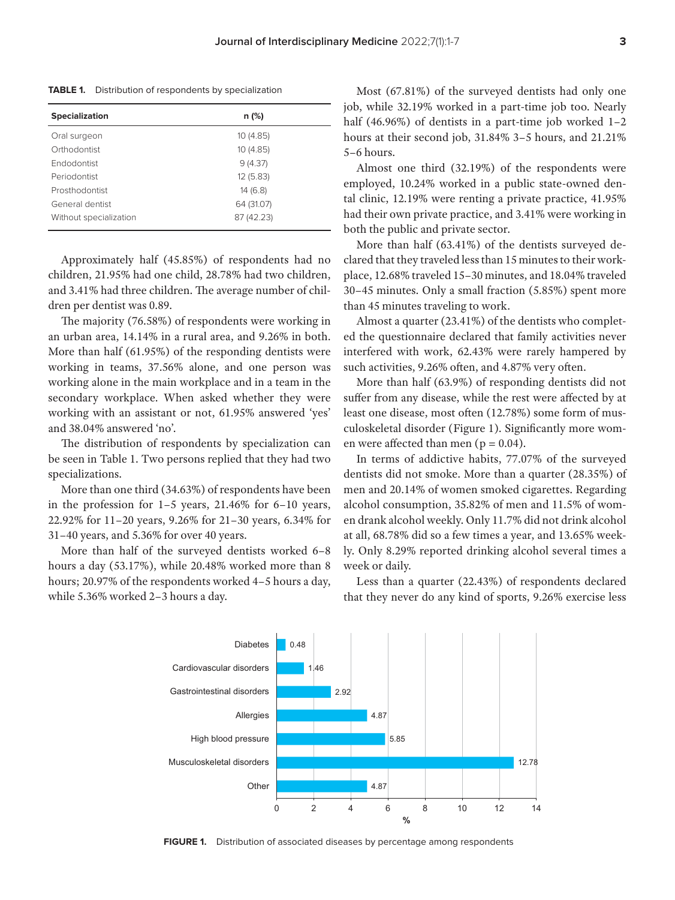**TABLE 1.** Distribution of respondents by specialization

| <b>Specialization</b>  | n (%)      |  |  |
|------------------------|------------|--|--|
| Oral surgeon           | 10 (4.85)  |  |  |
| Orthodontist           | 10 (4.85)  |  |  |
| <b>Endodontist</b>     | 9(4.37)    |  |  |
| Periodontist           | 12 (5.83)  |  |  |
| Prosthodontist         | 14(6.8)    |  |  |
| General dentist        | 64 (31.07) |  |  |
| Without specialization | 87 (42.23) |  |  |

Approximately half (45.85%) of respondents had no children, 21.95% had one child, 28.78% had two children, and 3.41% had three children. The average number of children per dentist was 0.89.

The majority (76.58%) of respondents were working in an urban area, 14.14% in a rural area, and 9.26% in both. More than half (61.95%) of the responding dentists were working in teams, 37.56% alone, and one person was working alone in the main workplace and in a team in the secondary workplace. When asked whether they were working with an assistant or not, 61.95% answered 'yes' and 38.04% answered 'no'.

The distribution of respondents by specialization can be seen in Table 1. Two persons replied that they had two specializations.

More than one third (34.63%) of respondents have been in the profession for 1–5 years, 21.46% for 6–10 years, 22.92% for 11–20 years, 9.26% for 21–30 years, 6.34% for 31–40 years, and 5.36% for over 40 years.

More than half of the surveyed dentists worked 6–8 hours a day (53.17%), while 20.48% worked more than 8 hours; 20.97% of the respondents worked 4–5 hours a day, while 5.36% worked 2–3 hours a day.

Most (67.81%) of the surveyed dentists had only one job, while 32.19% worked in a part-time job too. Nearly half (46.96%) of dentists in a part-time job worked 1–2 hours at their second job, 31.84% 3–5 hours, and 21.21% 5–6 hours.

Almost one third (32.19%) of the respondents were employed, 10.24% worked in a public state-owned dental clinic, 12.19% were renting a private practice, 41.95% had their own private practice, and 3.41% were working in both the public and private sector.

More than half (63.41%) of the dentists surveyed declared that they traveled less than 15 minutes to their workplace, 12.68% traveled 15–30 minutes, and 18.04% traveled 30–45 minutes. Only a small fraction (5.85%) spent more than 45 minutes traveling to work.

Almost a quarter (23.41%) of the dentists who completed the questionnaire declared that family activities never interfered with work, 62.43% were rarely hampered by such activities, 9.26% often, and 4.87% very often.

More than half (63.9%) of responding dentists did not suffer from any disease, while the rest were affected by at least one disease, most often (12.78%) some form of musculoskeletal disorder (Figure 1). Significantly more women were affected than men  $(p = 0.04)$ .

In terms of addictive habits, 77.07% of the surveyed dentists did not smoke. More than a quarter (28.35%) of men and 20.14% of women smoked cigarettes. Regarding alcohol consumption, 35.82% of men and 11.5% of women drank alcohol weekly. Only 11.7% did not drink alcohol at all, 68.78% did so a few times a year, and 13.65% weekly. Only 8.29% reported drinking alcohol several times a week or daily.

Less than a quarter (22.43%) of respondents declared that they never do any kind of sports, 9.26% exercise less



**FIGURE 1.** Distribution of associated diseases by percentage among respondents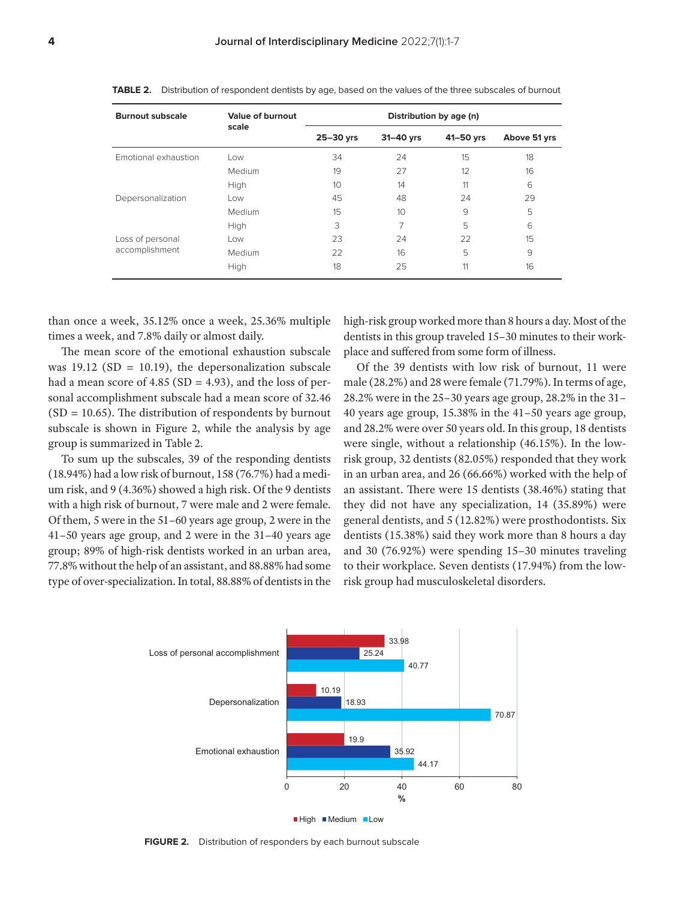| <b>Burnout subscale</b>            | Value of burnout<br>scale | Distribution by age (n) |           |           |              |  |
|------------------------------------|---------------------------|-------------------------|-----------|-----------|--------------|--|
|                                    |                           | 25-30 yrs               | 31-40 yrs | 41-50 yrs | Above 51 yrs |  |
| Emotional exhaustion               | Low                       | 34                      | 24        | 15        | 18           |  |
|                                    | Medium                    | 19                      | 27        | 12        | 16           |  |
|                                    | High                      | 10                      | 14        | 11        | 6            |  |
| Depersonalization                  | Low                       | 45                      | 48        | 24        | 29           |  |
|                                    | Medium                    | 15                      | 10        | 9         | 5            |  |
|                                    | High                      | 3                       | 7         | 5         | 6            |  |
| Loss of personal<br>accomplishment | Low                       | 23                      | 24        | 22        | 15           |  |
|                                    | Medium                    | 22                      | 16        | 5         | 9            |  |
|                                    | High                      | 18                      | 25        | 11        | 16           |  |

**TABLE 2.** Distribution of respondent dentists by age, based on the values of the three subscales of burnout

than once a week, 35.12% once a week, 25.36% multiple times a week, and 7.8% daily or almost daily.

The mean score of the emotional exhaustion subscale was  $19.12$  (SD = 10.19), the depersonalization subscale had a mean score of 4.85 ( $SD = 4.93$ ), and the loss of personal accomplishment subscale had a mean score of 32.46  $(SD = 10.65)$ . The distribution of respondents by burnout subscale is shown in Figure 2, while the analysis by age group is summarized in Table 2.

To sum up the subscales, 39 of the responding dentists (18.94%) had a low risk of burnout, 158 (76.7%) had a medium risk, and 9 (4.36%) showed a high risk. Of the 9 dentists with a high risk of burnout, 7 were male and 2 were female. Of them, 5 were in the 51–60 years age group, 2 were in the 41–50 years age group, and 2 were in the 31–40 years age group; 89% of high-risk dentists worked in an urban area, 77.8% without the help of an assistant, and 88.88% had some type of over-specialization. In total, 88.88% of dentists in the high-risk group worked more than 8 hours a day. Most of the dentists in this group traveled 15–30 minutes to their workplace and suffered from some form of illness.

Of the 39 dentists with low risk of burnout, 11 were male (28.2%) and 28 were female (71.79%). In terms of age, 28.2% were in the 25–30 years age group, 28.2% in the 31– 40 years age group, 15.38% in the 41–50 years age group, and 28.2% were over 50 years old. In this group, 18 dentists were single, without a relationship (46.15%). In the lowrisk group, 32 dentists (82.05%) responded that they work in an urban area, and 26 (66.66%) worked with the help of an assistant. There were 15 dentists (38.46%) stating that they did not have any specialization, 14 (35.89%) were general dentists, and 5 (12.82%) were prosthodontists. Six dentists (15.38%) said they work more than 8 hours a day and 30 (76.92%) were spending 15–30 minutes traveling to their workplace. Seven dentists (17.94%) from the lowrisk group had musculoskeletal disorders.



**FIGURE 2.** Distribution of responders by each burnout subscale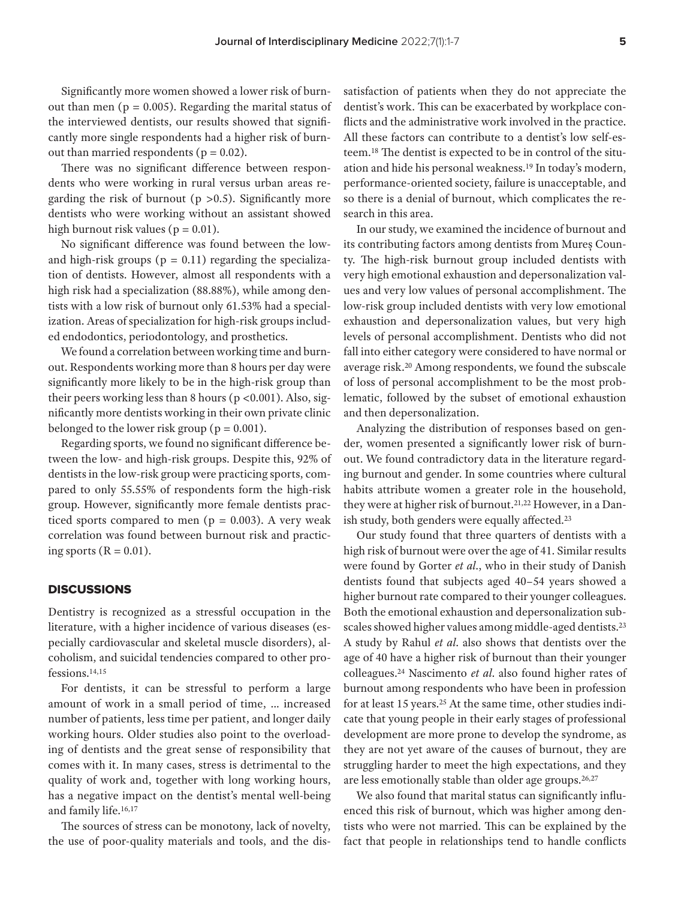Significantly more women showed a lower risk of burnout than men ( $p = 0.005$ ). Regarding the marital status of the interviewed dentists, our results showed that significantly more single respondents had a higher risk of burnout than married respondents ( $p = 0.02$ ).

There was no significant difference between respondents who were working in rural versus urban areas regarding the risk of burnout ( $p > 0.5$ ). Significantly more dentists who were working without an assistant showed high burnout risk values ( $p = 0.01$ ).

No significant difference was found between the lowand high-risk groups ( $p = 0.11$ ) regarding the specialization of dentists. However, almost all respondents with a high risk had a specialization (88.88%), while among dentists with a low risk of burnout only 61.53% had a specialization. Areas of specialization for high-risk groups included endodontics, periodontology, and prosthetics.

We found a correlation between working time and burnout. Respondents working more than 8 hours per day were significantly more likely to be in the high-risk group than their peers working less than 8 hours ( $p < 0.001$ ). Also, significantly more dentists working in their own private clinic belonged to the lower risk group ( $p = 0.001$ ).

Regarding sports, we found no significant difference between the low- and high-risk groups. Despite this, 92% of dentists in the low-risk group were practicing sports, compared to only 55.55% of respondents form the high-risk group. However, significantly more female dentists practiced sports compared to men ( $p = 0.003$ ). A very weak correlation was found between burnout risk and practicing sports ( $R = 0.01$ ).

## **DISCUSSIONS**

Dentistry is recognized as a stressful occupation in the literature, with a higher incidence of various diseases (especially cardiovascular and skeletal muscle disorders), alcoholism, and suicidal tendencies compared to other professions.14,15

For dentists, it can be stressful to perform a large amount of work in a small period of time, … increased number of patients, less time per patient, and longer daily working hours. Older studies also point to the overloading of dentists and the great sense of responsibility that comes with it. In many cases, stress is detrimental to the quality of work and, together with long working hours, has a negative impact on the dentist's mental well-being and family life.16,17

The sources of stress can be monotony, lack of novelty, the use of poor-quality materials and tools, and the dis-

satisfaction of patients when they do not appreciate the dentist's work. This can be exacerbated by workplace conflicts and the administrative work involved in the practice. All these factors can contribute to a dentist's low self-esteem.18 The dentist is expected to be in control of the situation and hide his personal weakness.19 In today's modern, performance-oriented society, failure is unacceptable, and so there is a denial of burnout, which complicates the research in this area.

In our study, we examined the incidence of burnout and its contributing factors among dentists from Mureș County. The high-risk burnout group included dentists with very high emotional exhaustion and depersonalization values and very low values of personal accomplishment. The low-risk group included dentists with very low emotional exhaustion and depersonalization values, but very high levels of personal accomplishment. Dentists who did not fall into either category were considered to have normal or average risk.20 Among respondents, we found the subscale of loss of personal accomplishment to be the most problematic, followed by the subset of emotional exhaustion and then depersonalization.

Analyzing the distribution of responses based on gender, women presented a significantly lower risk of burnout. We found contradictory data in the literature regarding burnout and gender. In some countries where cultural habits attribute women a greater role in the household, they were at higher risk of burnout.21,22 However, in a Danish study, both genders were equally affected.23

Our study found that three quarters of dentists with a high risk of burnout were over the age of 41. Similar results were found by Gorter *et al*., who in their study of Danish dentists found that subjects aged 40–54 years showed a higher burnout rate compared to their younger colleagues. Both the emotional exhaustion and depersonalization subscales showed higher values among middle-aged dentists.23 A study by Rahul *et al*. also shows that dentists over the age of 40 have a higher risk of burnout than their younger colleagues.24 Nascimento *et al*. also found higher rates of burnout among respondents who have been in profession for at least 15 years.<sup>25</sup> At the same time, other studies indicate that young people in their early stages of professional development are more prone to develop the syndrome, as they are not yet aware of the causes of burnout, they are struggling harder to meet the high expectations, and they are less emotionally stable than older age groups.26,27

We also found that marital status can significantly influenced this risk of burnout, which was higher among dentists who were not married. This can be explained by the fact that people in relationships tend to handle conflicts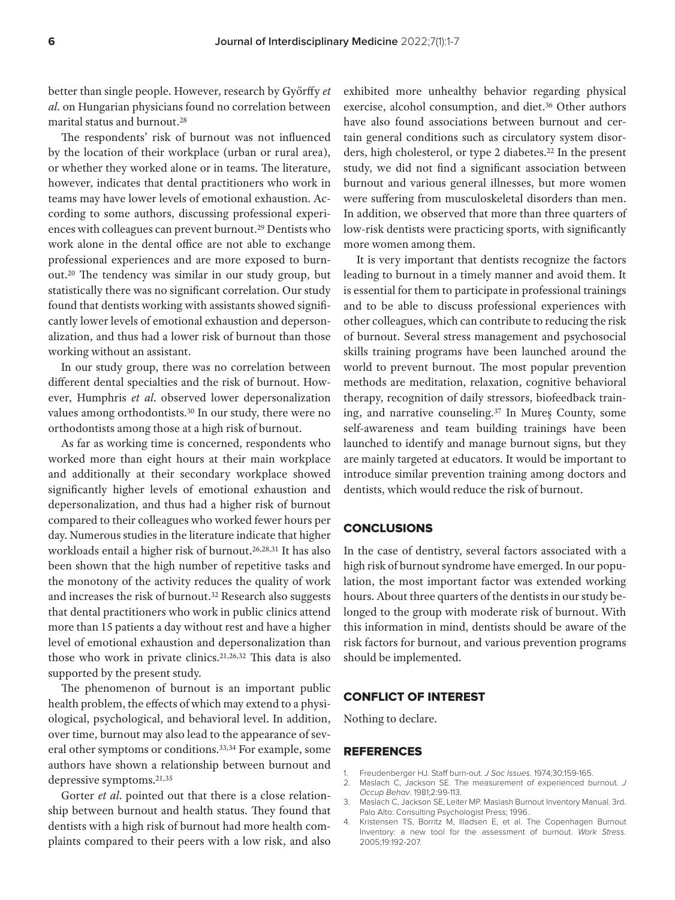better than single people. However, research by Győrffy *et al*. on Hungarian physicians found no correlation between marital status and burnout.28

The respondents' risk of burnout was not influenced by the location of their workplace (urban or rural area), or whether they worked alone or in teams. The literature, however, indicates that dental practitioners who work in teams may have lower levels of emotional exhaustion. According to some authors, discussing professional experiences with colleagues can prevent burnout.29 Dentists who work alone in the dental office are not able to exchange professional experiences and are more exposed to burnout.20 The tendency was similar in our study group, but statistically there was no significant correlation. Our study found that dentists working with assistants showed significantly lower levels of emotional exhaustion and depersonalization, and thus had a lower risk of burnout than those working without an assistant.

In our study group, there was no correlation between different dental specialties and the risk of burnout. However, Humphris *et al*. observed lower depersonalization values among orthodontists.30 In our study, there were no orthodontists among those at a high risk of burnout.

As far as working time is concerned, respondents who worked more than eight hours at their main workplace and additionally at their secondary workplace showed significantly higher levels of emotional exhaustion and depersonalization, and thus had a higher risk of burnout compared to their colleagues who worked fewer hours per day. Numerous studies in the literature indicate that higher workloads entail a higher risk of burnout.26,28,31 It has also been shown that the high number of repetitive tasks and the monotony of the activity reduces the quality of work and increases the risk of burnout.32 Research also suggests that dental practitioners who work in public clinics attend more than 15 patients a day without rest and have a higher level of emotional exhaustion and depersonalization than those who work in private clinics.21,26,32 This data is also supported by the present study.

The phenomenon of burnout is an important public health problem, the effects of which may extend to a physiological, psychological, and behavioral level. In addition, over time, burnout may also lead to the appearance of several other symptoms or conditions.33,34 For example, some authors have shown a relationship between burnout and depressive symptoms.21,35

Gorter *et al*. pointed out that there is a close relationship between burnout and health status. They found that dentists with a high risk of burnout had more health complaints compared to their peers with a low risk, and also

exhibited more unhealthy behavior regarding physical exercise, alcohol consumption, and diet.36 Other authors have also found associations between burnout and certain general conditions such as circulatory system disorders, high cholesterol, or type 2 diabetes.<sup>22</sup> In the present study, we did not find a significant association between burnout and various general illnesses, but more women were suffering from musculoskeletal disorders than men. In addition, we observed that more than three quarters of low-risk dentists were practicing sports, with significantly more women among them.

It is very important that dentists recognize the factors leading to burnout in a timely manner and avoid them. It is essential for them to participate in professional trainings and to be able to discuss professional experiences with other colleagues, which can contribute to reducing the risk of burnout. Several stress management and psychosocial skills training programs have been launched around the world to prevent burnout. The most popular prevention methods are meditation, relaxation, cognitive behavioral therapy, recognition of daily stressors, biofeedback training, and narrative counseling.37 In Mureș County, some self-awareness and team building trainings have been launched to identify and manage burnout signs, but they are mainly targeted at educators. It would be important to introduce similar prevention training among doctors and dentists, which would reduce the risk of burnout.

# **CONCLUSIONS**

In the case of dentistry, several factors associated with a high risk of burnout syndrome have emerged. In our population, the most important factor was extended working hours. About three quarters of the dentists in our study belonged to the group with moderate risk of burnout. With this information in mind, dentists should be aware of the risk factors for burnout, and various prevention programs should be implemented.

# CONFLICT OF INTEREST

Nothing to declare.

#### **REFERENCES**

- 1. Freudenberger HJ. Staff burn-out. J Soc Issues. 1974;30:159-165.<br>2. Maslach C. Jackson SE. The measurement of experienced b
- Maslach C, Jackson SE. The measurement of experienced burnout. J Occup Behav. 1981;2:99-113.
- 3. Maslach C, Jackson SE, Leiter MP. Maslash Burnout Inventory Manual. 3rd. Palo Alto: Consulting Psychologist Press; 1996.
- 4. Kristensen TS, Borritz M, Illadsen E, et al. The Copenhagen Burnout Inventory: a new tool for the assessment of burnout. Work Stress. 2005;19:192-207.